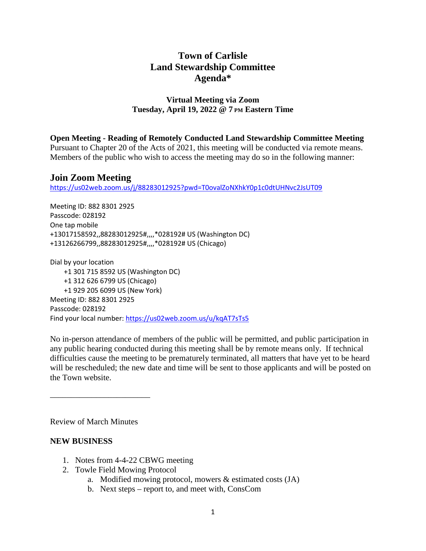# **Town of Carlisle Land Stewardship Committee Agenda\***

## **Virtual Meeting via Zoom Tuesday, April 19, 2022 @ 7 PM Eastern Time**

**Open Meeting - Reading of Remotely Conducted Land Stewardship Committee Meeting**

Pursuant to Chapter 20 of the Acts of 2021, this meeting will be conducted via remote means. Members of the public who wish to access the meeting may do so in the following manner:

## **Join Zoom Meeting**

<https://us02web.zoom.us/j/88283012925?pwd=T0ovalZoNXhkY0p1c0dtUHNvc2JsUT09>

Meeting ID: 882 8301 2925 Passcode: 028192 One tap mobile +13017158592,,88283012925#,,,,\*028192# US (Washington DC) +13126266799,,88283012925#,,,,\*028192# US (Chicago)

Dial by your location +1 301 715 8592 US (Washington DC) +1 312 626 6799 US (Chicago) +1 929 205 6099 US (New York) Meeting ID: 882 8301 2925 Passcode: 028192 Find your local number: <https://us02web.zoom.us/u/kqAT7sTs5>

No in-person attendance of members of the public will be permitted, and public participation in any public hearing conducted during this meeting shall be by remote means only. If technical difficulties cause the meeting to be prematurely terminated, all matters that have yet to be heard will be rescheduled; the new date and time will be sent to those applicants and will be posted on the Town website.

Review of March Minutes

\_\_\_\_\_\_\_\_\_\_\_\_\_\_\_\_\_\_\_\_\_\_\_\_

#### **NEW BUSINESS**

- 1. Notes from 4-4-22 CBWG meeting
- 2. Towle Field Mowing Protocol
	- a. Modified mowing protocol, mowers & estimated costs (JA)
	- b. Next steps report to, and meet with, ConsCom